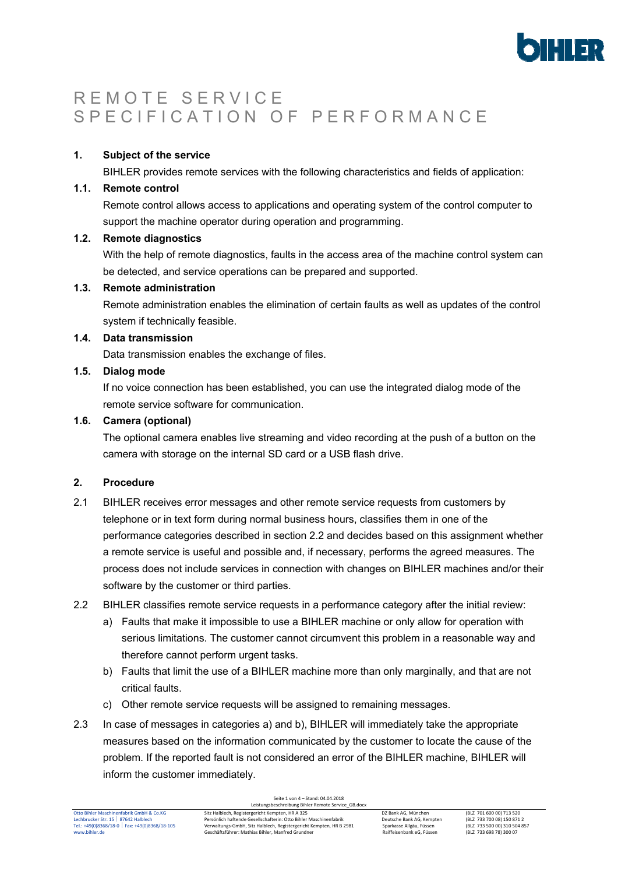

# R E M O T E S E R V I C E S P E C I F I C A T I O N O F P E R F O R M A N C E

## **1. Subject of the service**

BIHLER provides remote services with the following characteristics and fields of application:

# **1.1. Remote control**

Remote control allows access to applications and operating system of the control computer to support the machine operator during operation and programming.

# **1.2. Remote diagnostics**

With the help of remote diagnostics, faults in the access area of the machine control system can be detected, and service operations can be prepared and supported.

# **1.3. Remote administration**

Remote administration enables the elimination of certain faults as well as updates of the control system if technically feasible.

## **1.4. Data transmission**

Data transmission enables the exchange of files.

# **1.5. Dialog mode**

If no voice connection has been established, you can use the integrated dialog mode of the remote service software for communication.

# **1.6. Camera (optional)**

The optional camera enables live streaming and video recording at the push of a button on the camera with storage on the internal SD card or a USB flash drive.

# **2. Procedure**

- 2.1 BIHLER receives error messages and other remote service requests from customers by telephone or in text form during normal business hours, classifies them in one of the performance categories described in section 2.2 and decides based on this assignment whether a remote service is useful and possible and, if necessary, performs the agreed measures. The process does not include services in connection with changes on BIHLER machines and/or their software by the customer or third parties.
- 2.2 BIHLER classifies remote service requests in a performance category after the initial review:
	- a) Faults that make it impossible to use a BIHLER machine or only allow for operation with serious limitations. The customer cannot circumvent this problem in a reasonable way and therefore cannot perform urgent tasks.
	- b) Faults that limit the use of a BIHLER machine more than only marginally, and that are not critical faults.
	- c) Other remote service requests will be assigned to remaining messages.
- 2.3 In case of messages in categories a) and b), BIHLER will immediately take the appropriate measures based on the information communicated by the customer to locate the cause of the problem. If the reported fault is not considered an error of the BIHLER machine, BIHLER will inform the customer immediately.

| Otto Bihler Maschinenfabrik GmbH & Co.KG       | Sitz Halblech, Registergericht Kempten, HR A 325                    | DZ Bank AG. München       | (BLZ 701 600 00) 713 520     |
|------------------------------------------------|---------------------------------------------------------------------|---------------------------|------------------------------|
| Lechbrucker Str. 15   87642 Halblech           | - Persönlich haftende Gesellschafterin: Otto Bihler Maschinenfabrik | Deutsche Bank AG. Kempten | (BLZ 733 700 08) 150 871 2   |
| Tel.: +49(0)8368/18-0   Fax: +49(0)8368/18-105 | Verwaltungs-GmbH, Sitz Halblech, Registergericht Kempten, HR B 2981 | Sparkasse Allgäu, Füssen  | (BLZ 733 500 00) 310 504 857 |
| www.bihler.de                                  | Geschäftsführer: Mathias Bihler, Manfred Grundner                   | Raiffeisenbank eG. Füssen | (BLZ 733 698 78) 300 07      |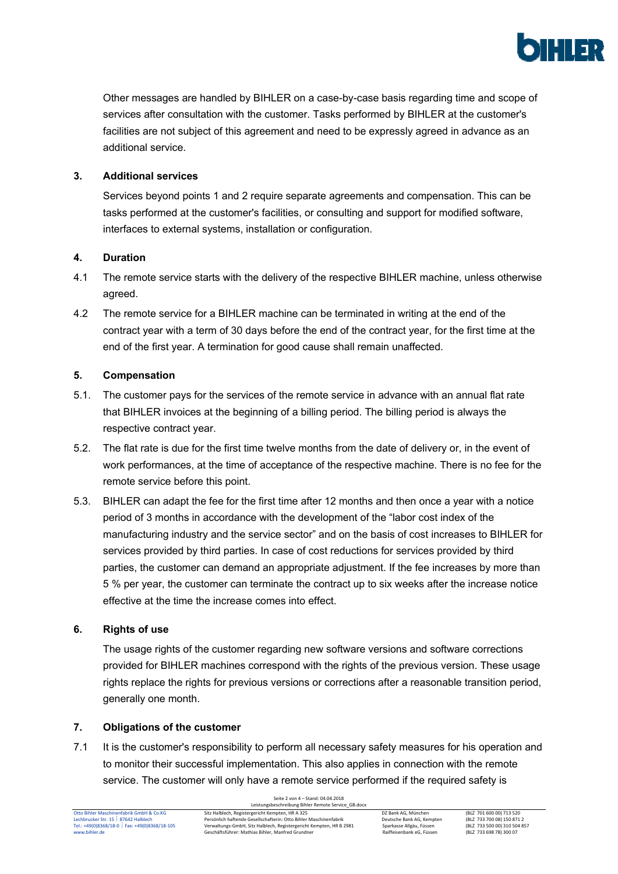

Other messages are handled by BIHLER on a case-by-case basis regarding time and scope of services after consultation with the customer. Tasks performed by BIHLER at the customer's facilities are not subject of this agreement and need to be expressly agreed in advance as an additional service.

# **3. Additional services**

Services beyond points 1 and 2 require separate agreements and compensation. This can be tasks performed at the customer's facilities, or consulting and support for modified software, interfaces to external systems, installation or configuration.

# **4. Duration**

- 4.1 The remote service starts with the delivery of the respective BIHLER machine, unless otherwise agreed.
- 4.2 The remote service for a BIHLER machine can be terminated in writing at the end of the contract year with a term of 30 days before the end of the contract year, for the first time at the end of the first year. A termination for good cause shall remain unaffected.

# **5. Compensation**

- 5.1. The customer pays for the services of the remote service in advance with an annual flat rate that BIHLER invoices at the beginning of a billing period. The billing period is always the respective contract year.
- 5.2. The flat rate is due for the first time twelve months from the date of delivery or, in the event of work performances, at the time of acceptance of the respective machine. There is no fee for the remote service before this point.
- 5.3. BIHLER can adapt the fee for the first time after 12 months and then once a year with a notice period of 3 months in accordance with the development of the "labor cost index of the manufacturing industry and the service sector" and on the basis of cost increases to BIHLER for services provided by third parties. In case of cost reductions for services provided by third parties, the customer can demand an appropriate adjustment. If the fee increases by more than 5 % per year, the customer can terminate the contract up to six weeks after the increase notice effective at the time the increase comes into effect.

## **6. Rights of use**

The usage rights of the customer regarding new software versions and software corrections provided for BIHLER machines correspond with the rights of the previous version. These usage rights replace the rights for previous versions or corrections after a reasonable transition period, generally one month.

## **7. Obligations of the customer**

7.1 It is the customer's responsibility to perform all necessary safety measures for his operation and to monitor their successful implementation. This also applies in connection with the remote service. The customer will only have a remote service performed if the required safety is

Seite 2 von 4 – Stand: 04.04.2018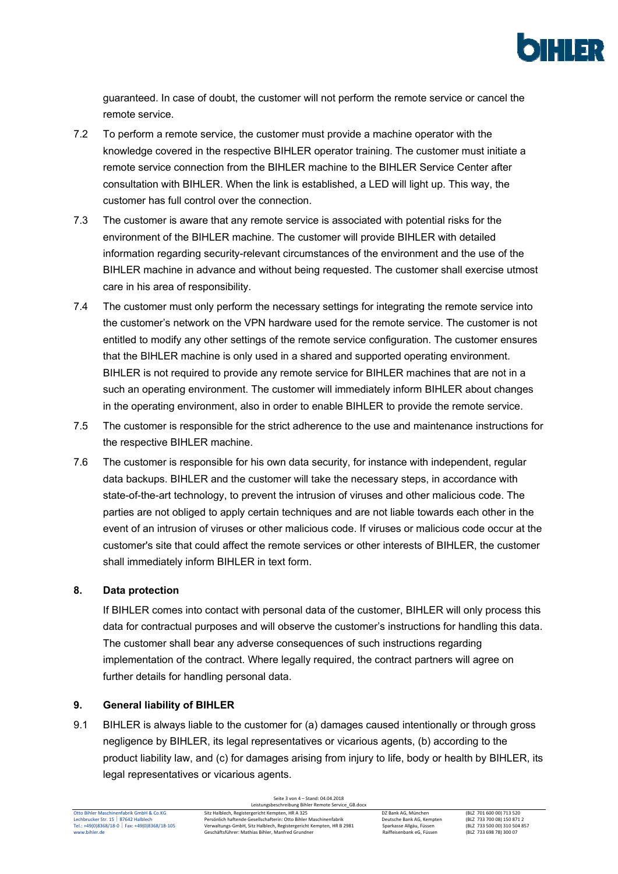

guaranteed. In case of doubt, the customer will not perform the remote service or cancel the remote service.

- 7.2 To perform a remote service, the customer must provide a machine operator with the knowledge covered in the respective BIHLER operator training. The customer must initiate a remote service connection from the BIHLER machine to the BIHLER Service Center after consultation with BIHLER. When the link is established, a LED will light up. This way, the customer has full control over the connection.
- 7.3 The customer is aware that any remote service is associated with potential risks for the environment of the BIHLER machine. The customer will provide BIHLER with detailed information regarding security-relevant circumstances of the environment and the use of the BIHLER machine in advance and without being requested. The customer shall exercise utmost care in his area of responsibility.
- 7.4 The customer must only perform the necessary settings for integrating the remote service into the customer's network on the VPN hardware used for the remote service. The customer is not entitled to modify any other settings of the remote service configuration. The customer ensures that the BIHLER machine is only used in a shared and supported operating environment. BIHLER is not required to provide any remote service for BIHLER machines that are not in a such an operating environment. The customer will immediately inform BIHLER about changes in the operating environment, also in order to enable BIHLER to provide the remote service.
- 7.5 The customer is responsible for the strict adherence to the use and maintenance instructions for the respective BIHLER machine.
- 7.6 The customer is responsible for his own data security, for instance with independent, regular data backups. BIHLER and the customer will take the necessary steps, in accordance with state-of-the-art technology, to prevent the intrusion of viruses and other malicious code. The parties are not obliged to apply certain techniques and are not liable towards each other in the event of an intrusion of viruses or other malicious code. If viruses or malicious code occur at the customer's site that could affect the remote services or other interests of BIHLER, the customer shall immediately inform BIHLER in text form.

## **8. Data protection**

If BIHLER comes into contact with personal data of the customer, BIHLER will only process this data for contractual purposes and will observe the customer's instructions for handling this data. The customer shall bear any adverse consequences of such instructions regarding implementation of the contract. Where legally required, the contract partners will agree on further details for handling personal data.

## **9. General liability of BIHLER**

9.1 BIHLER is always liable to the customer for (a) damages caused intentionally or through gross negligence by BIHLER, its legal representatives or vicarious agents, (b) according to the product liability law, and (c) for damages arising from injury to life, body or health by BIHLER, its legal representatives or vicarious agents.

Seite 3 von 4 – Stand: 04.04.2018 Leistungsbeschreibung Bihler Remote Service\_GB.docx Otto Bihler Maschinenfabrik GmbH & Co.KG Sitz Halblech, Registergericht Kempten, HR A 325 DZ Bank AG, München (BLZ 701 600 00) 713 520 Lechbrucker Str. 15 87642 Halblech Persönlich haftende Gesellschafterin: Otto Bihler Maschinenfabrik Deutsche Bank AG, Kempten (BLZ 733 700 08) 150 871 2 Tel.: +49(0)8368/18-10 [8LZ 733 500 00) 310 504 857 [8LZ 733 500 100] Verwaltungs-GmbH, Sitz Halblech, Registergericht Kempten, HR B 2981 [8LZ 733 500 100] 310 504 857 [8LZ 733 500 00] 310 504 857<br>Www.bihler.de runderd fo